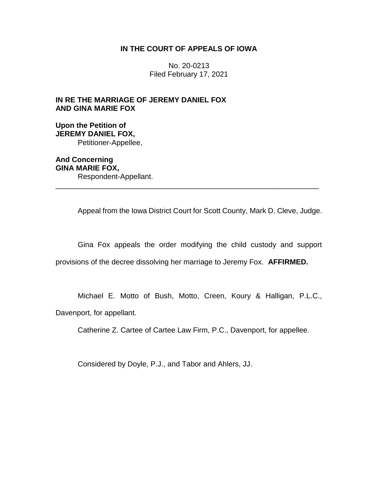## **IN THE COURT OF APPEALS OF IOWA**

No. 20-0213 Filed February 17, 2021

## **IN RE THE MARRIAGE OF JEREMY DANIEL FOX AND GINA MARIE FOX**

**Upon the Petition of JEREMY DANIEL FOX,** Petitioner-Appellee,

**And Concerning GINA MARIE FOX,** Respondent-Appellant. \_\_\_\_\_\_\_\_\_\_\_\_\_\_\_\_\_\_\_\_\_\_\_\_\_\_\_\_\_\_\_\_\_\_\_\_\_\_\_\_\_\_\_\_\_\_\_\_\_\_\_\_\_\_\_\_\_\_\_\_\_\_\_\_

Appeal from the Iowa District Court for Scott County, Mark D. Cleve, Judge.

Gina Fox appeals the order modifying the child custody and support

provisions of the decree dissolving her marriage to Jeremy Fox. **AFFIRMED.**

Michael E. Motto of Bush, Motto, Creen, Koury & Halligan, P.L.C.,

Davenport, for appellant.

Catherine Z. Cartee of Cartee Law Firm, P.C., Davenport, for appellee.

Considered by Doyle, P.J., and Tabor and Ahlers, JJ.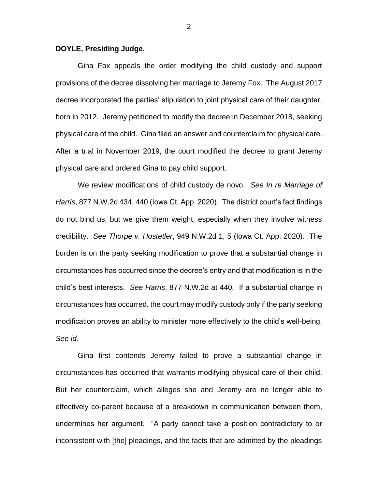## **DOYLE, Presiding Judge.**

Gina Fox appeals the order modifying the child custody and support provisions of the decree dissolving her marriage to Jeremy Fox. The August 2017 decree incorporated the parties' stipulation to joint physical care of their daughter, born in 2012. Jeremy petitioned to modify the decree in December 2018, seeking physical care of the child. Gina filed an answer and counterclaim for physical care. After a trial in November 2019, the court modified the decree to grant Jeremy physical care and ordered Gina to pay child support.

We review modifications of child custody de novo. *See In re Marriage of Harris*, 877 N.W.2d 434, 440 (Iowa Ct. App. 2020). The district court's fact findings do not bind us, but we give them weight, especially when they involve witness credibility. *See Thorpe v. Hostetler*, 949 N.W.2d 1, 5 (Iowa Ct. App. 2020). The burden is on the party seeking modification to prove that a substantial change in circumstances has occurred since the decree's entry and that modification is in the child's best interests. *See Harris*, 877 N.W.2d at 440*.* If a substantial change in circumstances has occurred, the court may modify custody only if the party seeking modification proves an ability to minister more effectively to the child's well-being. *See id.*

Gina first contends Jeremy failed to prove a substantial change in circumstances has occurred that warrants modifying physical care of their child. But her counterclaim, which alleges she and Jeremy are no longer able to effectively co-parent because of a breakdown in communication between them, undermines her argument. "A party cannot take a position contradictory to or inconsistent with [the] pleadings, and the facts that are admitted by the pleadings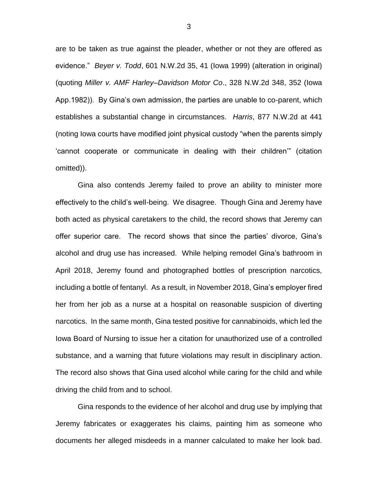are to be taken as true against the pleader, whether or not they are offered as evidence." *Beyer v. Todd*, 601 N.W.2d 35, 41 (Iowa 1999) (alteration in original) (quoting *Miller v. AMF Harley–Davidson Motor Co*., 328 N.W.2d 348, 352 (Iowa App.1982)). By Gina's own admission, the parties are unable to co-parent, which establishes a substantial change in circumstances. *Harris*, 877 N.W.2d at 441 (noting Iowa courts have modified joint physical custody "when the parents simply 'cannot cooperate or communicate in dealing with their children'" (citation omitted)).

Gina also contends Jeremy failed to prove an ability to minister more effectively to the child's well-being. We disagree. Though Gina and Jeremy have both acted as physical caretakers to the child, the record shows that Jeremy can offer superior care. The record shows that since the parties' divorce, Gina's alcohol and drug use has increased. While helping remodel Gina's bathroom in April 2018, Jeremy found and photographed bottles of prescription narcotics, including a bottle of fentanyl. As a result, in November 2018, Gina's employer fired her from her job as a nurse at a hospital on reasonable suspicion of diverting narcotics. In the same month, Gina tested positive for cannabinoids, which led the Iowa Board of Nursing to issue her a citation for unauthorized use of a controlled substance, and a warning that future violations may result in disciplinary action. The record also shows that Gina used alcohol while caring for the child and while driving the child from and to school.

Gina responds to the evidence of her alcohol and drug use by implying that Jeremy fabricates or exaggerates his claims, painting him as someone who documents her alleged misdeeds in a manner calculated to make her look bad.